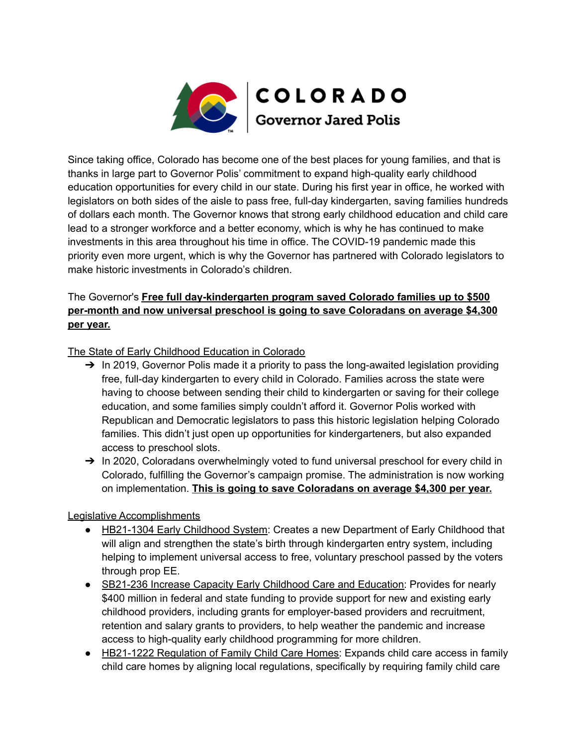

Since taking office, Colorado has become one of the best places for young families, and that is thanks in large part to Governor Polis' commitment to expand high-quality early childhood education opportunities for every child in our state. During his first year in office, he worked with legislators on both sides of the aisle to pass free, full-day kindergarten, saving families hundreds of dollars each month. The Governor knows that strong early childhood education and child care lead to a stronger workforce and a better economy, which is why he has continued to make investments in this area throughout his time in office. The COVID-19 pandemic made this priority even more urgent, which is why the Governor has partnered with Colorado legislators to make historic investments in Colorado's children.

## The Governor's **Free full day-kindergarten program saved Colorado families up to \$500 per-month and now universal preschool is going to save Coloradans on average \$4,300 per year.**

## The State of Early Childhood Education in Colorado

- $\rightarrow$  In 2019, Governor Polis made it a priority to pass the long-awaited legislation providing free, full-day kindergarten to every child in Colorado. Families across the state were having to choose between sending their child to kindergarten or saving for their college education, and some families simply couldn't afford it. Governor Polis worked with Republican and Democratic legislators to pass this historic legislation helping Colorado families. This didn't just open up opportunities for kindergarteners, but also expanded access to preschool slots.
- → In 2020, Coloradans overwhelmingly voted to fund universal preschool for every child in Colorado, fulfilling the Governor's campaign promise. The administration is now working on implementation. **This is going to save Coloradans on average \$4,300 per year.**

## Legislative Accomplishments

- HB21-1304 Early Childhood System: Creates a new Department of Early Childhood that will align and strengthen the state's birth through kindergarten entry system, including helping to implement universal access to free, voluntary preschool passed by the voters through prop EE.
- SB21-236 Increase Capacity Early Childhood Care and Education: Provides for nearly \$400 million in federal and state funding to provide support for new and existing early childhood providers, including grants for employer-based providers and recruitment, retention and salary grants to providers, to help weather the pandemic and increase access to high-quality early childhood programming for more children.
- HB21-1222 Regulation of Family Child Care Homes: Expands child care access in family child care homes by aligning local regulations, specifically by requiring family child care